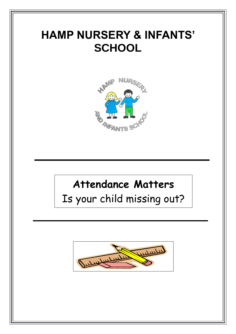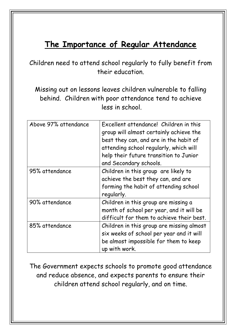# **The Importance of Regular A ttendance**

Children need to attend school regularly to fully benefit from their education.

Missing out on lessons leaves children vulnerable to falling behind. Children with poor attendance tend to achieve less in school.

| Above 97% attendance | Excellent attendance! Children in this<br>group will almost certainly achieve the<br>best they can, and are in the habit of<br>attending school regularly, which will<br>help their future transition to Junior<br>and Secondary schools. |
|----------------------|-------------------------------------------------------------------------------------------------------------------------------------------------------------------------------------------------------------------------------------------|
| 95% attendance       | Children in this group are likely to<br>achieve the best they can, and are<br>forming the habit of attending school<br>regularly.                                                                                                         |
| 90% attendance       | Children in this group are missing a<br>month of school per year, and it will be<br>difficult for them to achieve their best.                                                                                                             |
| 85% attendance       | Children in this group are missing almost<br>six weeks of school per year and it will<br>be almost impossible for them to keep<br>up with work.                                                                                           |

The Government expects schools to promote good attendance and reduce absence, and expects parents to ensure their children attend school regularly, and on time.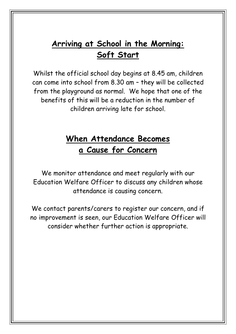## **Arriving at School in the Morning: Soft Start**

Whilst the official school day begins at 8.45 am, children can come into school from 8.30 am – they will be collected from the playground as normal. We hope that one of the benefits of this will be a reduction in the number of children arriving late for school.

### **When Attendance Becomes a Cause for Concern**

We monitor attendance and meet regularly with our Education Welfare Officer to discuss any children whose attendance is causing concern.

We contact parents/carers to register our concern, and if no improvement is seen, our Education Welfare Officer will consider whether further action is appropriate.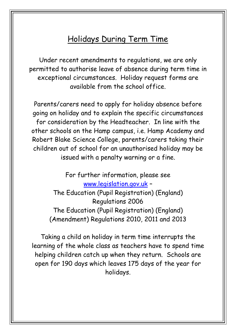### Holidays During Term Time

Under recent amendments to regulations, we are only permitted to authorise leave of absence during term time in exceptional circumstances. Holiday request forms are available from the school office.

Parents/carers need to apply for holiday absence before going on holiday and to explain the specific circumstances for consideration by the Headteacher. In line with the other schools on the Hamp campus, i.e. Hamp Academy and Robert Blake Science College, parents/carers taking their children out of school for an unauthorised holiday may be issued with a penalty warning or a fine.

> For further information, please see [www.legislation.gov.uk](http://www.legislation.gov.uk/) – The Education (Pupil Registration) (England) Regulations 2006 The Education (Pupil Registration) (England) (Amendment) Regulations 2010, 2011 and 2013

Taking a child on holiday in term time interrupts the learning of the whole class as teachers have to spend time helping children catch up when they return. Schools are open for 190 days which leaves 175 days of the year for holidays.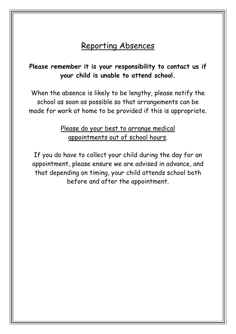### Reporting Absences

#### **Please remember it is your responsibility to contact us if your child is unable to attend school.**

When the absence is likely to be lengthy, please notify the school as soon as possible so that arrangements can be made for work at home to be provided if this is appropriate.

#### Please do your best to arrange medical appointments out of school hours.

If you do have to collect your child during the day for an appointment, please ensure we are advised in advance, and that depending on timing, your child attends school both before and after the appointment.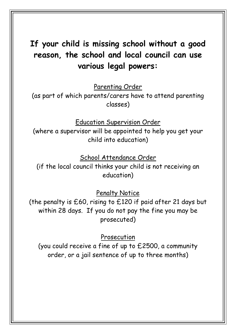## **If your child is missing school without a good reason, the school and local council can use various legal powers:**

Parenting Order

(as part of which parents/carers have to attend parenting classes)

Education Supervision Order

(where a supervisor will be appointed to help you get your child into education)

School Attendance Order

(if the local council thinks your child is not receiving an education)

Penalty Notice

(the penalty is £60, rising to £120 if paid after 21 days but within 28 days. If you do not pay the fine you may be prosecuted)

Prosecution

(you could receive a fine of up to £2500, a community order, or a jail sentence of up to three months)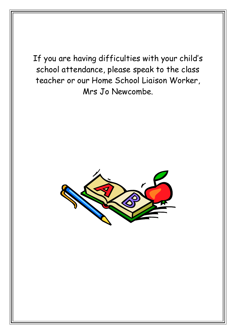If you are having difficulties with your child's school attendance, please speak to the class teacher or our Home School Liaison Worker, Mrs Jo Newcombe.